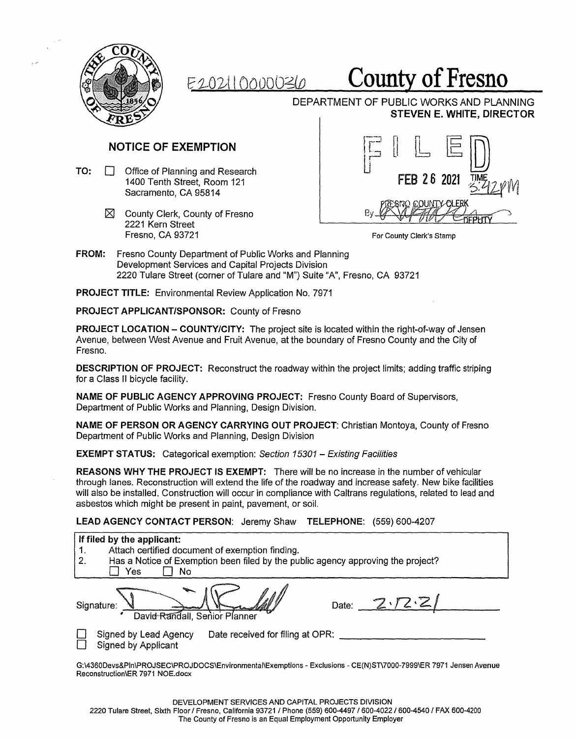

## f2-02A I ooooD?Jo **County of Fresno**

DEPARTMENT OF PUBLIC WORKS AND PLANNING **STEVEN E. WHITE, DIRECTOR** 

- TO: □ Office of Planning and Research 1400 Tenth Street, Sacramento, CA 95814
	- $\times$  County Clerk, County of Fresno 2221 Kern Street Fresno, CA 93721

NOTICE OF EXEMPTION  $\boxed{\Box} \begin{bmatrix} \Box & \Box & \Box & \Box \ \Box & \Box & \Box \end{bmatrix}$ Room 121 FEB 2 6 **<sup>2021</sup>**-~ **FIME**<br>5-42 PM By.  $\bigcap$ 

For County Clerk's Stamp

**FROM:** Fresno County Department of Public Works and Planning Development Services and Capital Projects Division 2220 Tulare Street (corner of Tulare and "M") Suite "A", Fresno, CA 93721

**PROJECT TITLE:** Environmental Review Application No. 7971

**PROJECT APPLICANT/SPONSOR:** County of Fresno

**PROJECT LOCATION - COUNTY/CITY:** The project site is located within the right-of-way of Jensen Avenue, between West Avenue and Fruit Avenue, at the boundary of Fresno County and the City of Fresno.

**DESCRIPTION OF PROJECT:** Reconstruct the roadway within the project limits; adding traffic striping for a Class II bicycle facility.

**NAME OF PUBLIC AGENCY APPROVING PROJECT:** Fresno County Board of Supervisors, Department of Public Works and Planning, Design Division.

**NAME OF PERSON OR AGENCY CARRYING OUT PROJECT:** Christian Montoya, County of Fresno Department of Public Works and Planning, Design Division

**EXEMPT STATUS:** Categorical exemption: Section 15301 – Existing Facilities

**REASONS WHY THE PROJECT IS EXEMPT:** There will be no increase in the number of vehicular through lanes. Reconstruction will extend the life of the roadway and increase safety. New bike facilities will also be installed. Construction will occur in compliance with Caltrans regulations, related to lead and asbestos which might be present in paint, pavement, or soil.

**LEAD AGENCY CONTACT PERSON:** Jeremy Shaw **TELEPHONE:** (559) 600-4207

| If filed by the applicant:<br>Attach certified document of exemption finding.<br>1.<br>2.<br>Has a Notice of Exemption been filed by the public agency approving the project?<br>No<br>Yes |
|--------------------------------------------------------------------------------------------------------------------------------------------------------------------------------------------|
| 2.72.2<br>Date:<br>Signature:<br>David Randall, Senior Planner                                                                                                                             |
| Date received for filing at OPR:<br>Signed by Lead Agency<br><b>Signed by Applicant</b>                                                                                                    |
| G:\4360Devs&PIn\PROJSEC\PROJDOCS\Environmental\Exemptions - Exclusions - CE(N)ST\7000-7999\ER 7971 Jensen Avenue<br>Reconstruction\ER 7971 NOE.docx                                        |

2220 Tulare Street, Sixth Floor/ Fresno, California 93721 / Phone (559) 600-4497 / 600-4022 / 600-4540 / FAX 600-4200 The County of Fresno is an Equal Employment Opportunity Employer